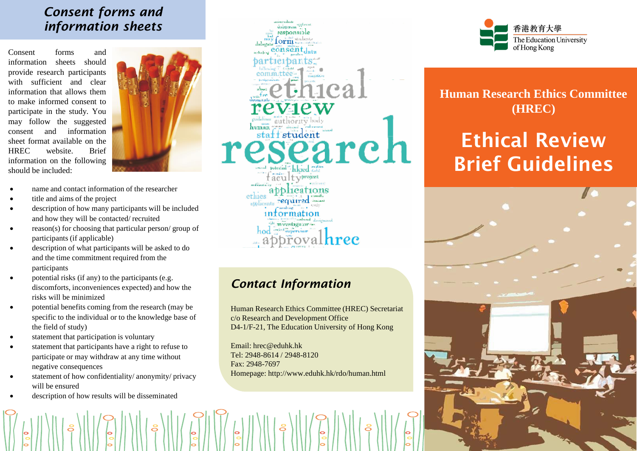#### *Consent forms and information sheets*

Consent forms and information sheets should provide research participants with sufficient and clear information that allows them to make informed consent to participate in the study. You may follow the suggested consent and information sheet format available on the HREC website. Brief information on the following should be included:



- name and contact information of the researcher
- title and aims of the project
- description of how many participants will be included and how they will be contacted/ recruited
- reason(s) for choosing that particular person/ group of participants (if applicable)
- description of what participants will be asked to do and the time commitment required from the participants
- potential risks (if any) to the participants (e.g. discomforts, inconveniences expected) and how the risks will be minimized
- potential benefits coming from the research (may be specific to the individual or to the knowledge base of the field of study)
- statement that participation is voluntary
- statement that participants have a right to refuse to participate or may withdraw at any time without negative consequences
- statement of how confidentiality/ anonymity/ privacy will be ensured
- description of how results will be disseminated



## *Contact Information*

Human Research Ethics Committee (HREC) Secretariat c/o Research and Development Office D4-1/F-21, The Education University of Hong Kong

Email: hrec@eduhk.hk Tel: 2948-8614 / 2948-8120 Fax: 2948-7697 Homepage: http://www.eduhk.hk/rdo/human.html



**Human Research Ethics Committee (HREC)**

# Ethical Review Brief Guidelines